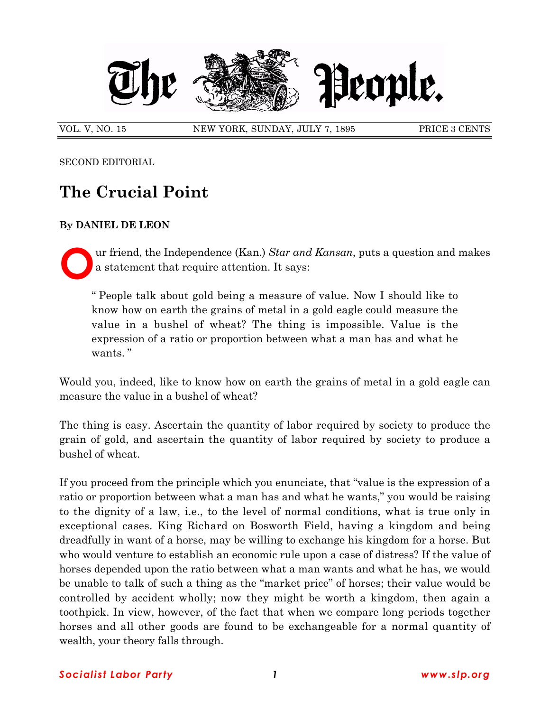

VOL. V, NO. 15 NEW YORK, SUNDAY, JULY 7, 1895 PRICE 3 CENTS

SECOND EDITORIAL

## **The Crucial Point**

## **By DANIEL DE LEON**

**O** ur friend, the Independence (Kan.) *Star and Kansan*, puts a question and makes a statement that require attention. It says:

ì People talk about gold being a measure of value. Now I should like to know how on earth the grains of metal in a gold eagle could measure the value in a bushel of wheat? The thing is impossible. Value is the expression of a ratio or proportion between what a man has and what he wants."

Would you, indeed, like to know how on earth the grains of metal in a gold eagle can measure the value in a bushel of wheat?

The thing is easy. Ascertain the quantity of labor required by society to produce the grain of gold, and ascertain the quantity of labor required by society to produce a bushel of wheat.

If you proceed from the principle which you enunciate, that "value is the expression of a ratio or proportion between what a man has and what he wants," you would be raising to the dignity of a law, i.e., to the level of normal conditions, what is true only in exceptional cases. King Richard on Bosworth Field, having a kingdom and being dreadfully in want of a horse, may be willing to exchange his kingdom for a horse. But who would venture to establish an economic rule upon a case of distress? If the value of horses depended upon the ratio between what a man wants and what he has, we would be unable to talk of such a thing as the "market price" of horses; their value would be controlled by accident wholly; now they might be worth a kingdom, then again a toothpick. In view, however, of the fact that when we compare long periods together horses and all other goods are found to be exchangeable for a normal quantity of wealth, your theory falls through.

## *Socialist Labor Party 1 www.slp.org*